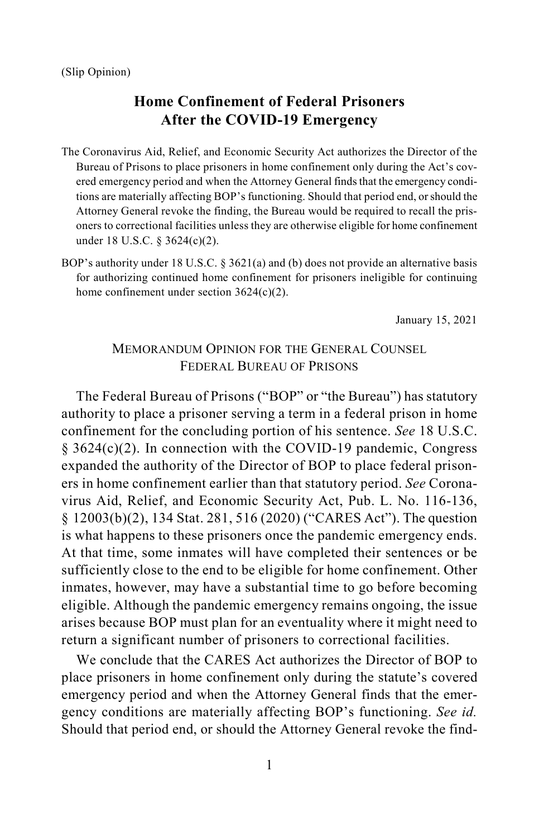- <span id="page-0-0"></span>The Coronavirus Aid, Relief, and Economic Security Act authorizes the Director of the Bureau of Prisons to place prisoners in home confinement only during the Act's covered emergency period and when the Attorney General finds that the emergency conditions are materially affecting BOP's functioning. Should that period end, or should the Attorney General revoke the finding, the Bureau would be required to recall the prisoners to correctional facilities unless they are otherwise eligible for home confinement under 18 U.S.C. § 3624(c)(2).
- BOP's authority under 18 U.S.C. § 3621(a) and (b) does not provide an alternative basis for authorizing continued home confinement for prisoners ineligible for continuing home confinement under section  $3624(c)(2)$ .

January 15, 2021

## MEMORANDUM OPINION FOR THE GENERAL COUNSEL FEDERAL BUREAU OF PRISONS

The Federal Bureau of Prisons ("BOP" or "the Bureau") has statutory authority to place a prisoner serving a term in a federal prison in home confinement for the concluding portion of his sentence. *See* 18 U.S.C. § 3624(c)(2). In connection with the COVID-19 pandemic, Congress expanded the authority of the Director of BOP to place federal prisoners in home confinement earlier than that statutory period. *See* Coronavirus Aid, Relief, and Economic Security Act, Pub. L. No. 116-136, § 12003(b)(2), 134 Stat. 281, 516 (2020) ("CARES Act"). The question is what happens to these prisoners once the pandemic emergency ends. At that time, some inmates will have completed their sentences or be sufficiently close to the end to be eligible for home confinement. Other inmates, however, may have a substantial time to go before becoming eligible. Although the pandemic emergency remains ongoing, the issue arises because BOP must plan for an eventuality where it might need to return a significant number of prisoners to correctional facilities.

We conclude that the CARES Act authorizes the Director of BOP to place prisoners in home confinement only during the statute's covered emergency period and when the Attorney General finds that the emergency conditions are materially affecting BOP's functioning. *See id.* Should that period end, or should the Attorney General revoke the find-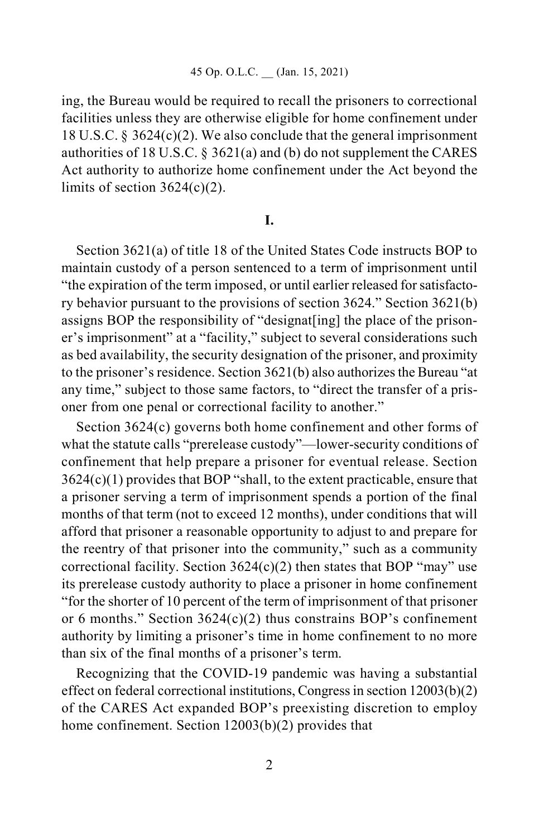ing, the Bureau would be required to recall the prisoners to correctional facilities unless they are otherwise eligible for home confinement under 18 U.S.C. § 3624(c)(2). We also conclude that the general imprisonment authorities of 18 U.S.C. § 3621(a) and (b) do not supplement the CARES Act authority to authorize home confinement under the Act beyond the limits of section  $3624(c)(2)$ .

## **I.**

Section 3621(a) of title 18 of the United States Code instructs BOP to maintain custody of a person sentenced to a term of imprisonment until "the expiration of the term imposed, or until earlier released for satisfactory behavior pursuant to the provisions of section 3624." Section 3621(b) assigns BOP the responsibility of "designat[ing] the place of the prisoner's imprisonment" at a "facility," subject to several considerations such as bed availability, the security designation of the prisoner, and proximity to the prisoner's residence. Section 3621(b) also authorizes the Bureau "at any time," subject to those same factors, to "direct the transfer of a prisoner from one penal or correctional facility to another."

Section 3624(c) governs both home confinement and other forms of what the statute calls "prerelease custody"—lower-security conditions of confinement that help prepare a prisoner for eventual release. Section  $3624(c)(1)$  provides that BOP "shall, to the extent practicable, ensure that a prisoner serving a term of imprisonment spends a portion of the final months of that term (not to exceed 12 months), under conditions that will afford that prisoner a reasonable opportunity to adjust to and prepare for the reentry of that prisoner into the community," such as a community correctional facility. Section  $3624(c)(2)$  then states that BOP "may" use its prerelease custody authority to place a prisoner in home confinement "for the shorter of 10 percent of the term of imprisonment of that prisoner or 6 months." Section 3624(c)(2) thus constrains BOP's confinement authority by limiting a prisoner's time in home confinement to no more than six of the final months of a prisoner's term.

Recognizing that the COVID-19 pandemic was having a substantial effect on federal correctional institutions, Congress in section 12003(b)(2) of the CARES Act expanded BOP's preexisting discretion to employ home confinement. Section 12003(b)(2) provides that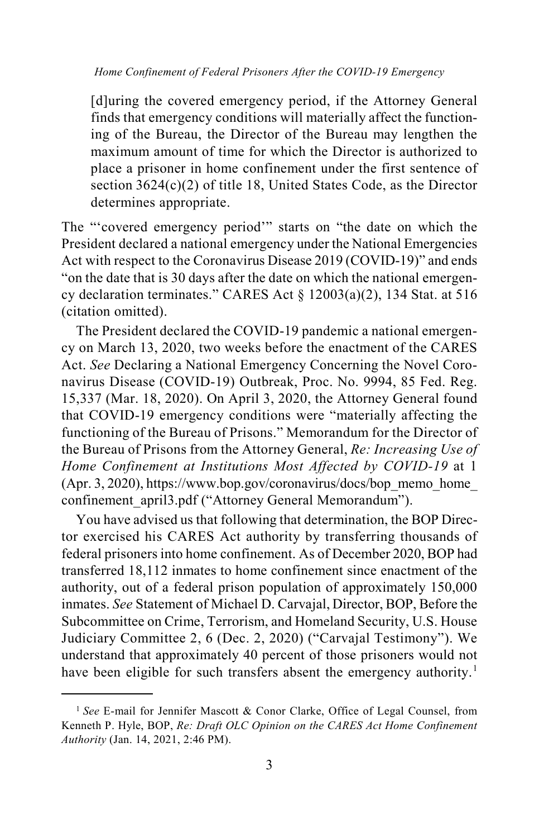[d]uring the covered emergency period, if the Attorney General finds that emergency conditions will materially affect the functioning of the Bureau, the Director of the Bureau may lengthen the maximum amount of time for which the Director is authorized to place a prisoner in home confinement under the first sentence of section 3624(c)(2) of title 18, United States Code, as the Director determines appropriate.

The "'covered emergency period'" starts on "the date on which the President declared a national emergency under the National Emergencies Act with respect to the Coronavirus Disease 2019 (COVID-19)" and ends "on the date that is 30 days after the date on which the national emergency declaration terminates." CARES Act  $\S$  12003(a)(2), 134 Stat. at 516 (citation omitted).

The President declared the COVID-19 pandemic a national emergency on March 13, 2020, two weeks before the enactment of the CARES Act. *See* Declaring a National Emergency Concerning the Novel Coronavirus Disease (COVID-19) Outbreak, Proc. No. 9994, 85 Fed. Reg. 15,337 (Mar. 18, 2020). On April 3, 2020, the Attorney General found that COVID-19 emergency conditions were "materially affecting the functioning of the Bureau of Prisons." Memorandum for the Director of the Bureau of Prisons from the Attorney General, *Re: Increasing Use of Home Confinement at Institutions Most Affected by COVID-19* at 1 (Apr. 3, 2020), https://www.bop.gov/coronavirus/docs/bop\_memo\_home\_ confinement april3.pdf ("Attorney General Memorandum").

You have advised us that following that determination, the BOP Director exercised his CARES Act authority by transferring thousands of federal prisoners into home confinement. As of December 2020, BOP had transferred 18,112 inmates to home confinement since enactment of the authority, out of a federal prison population of approximately 150,000 inmates. *See* Statement of Michael D. Carvajal, Director, BOP, Before the Subcommittee on Crime, Terrorism, and Homeland Security, U.S. House Judiciary Committee 2, 6 (Dec. 2, 2020) ("Carvajal Testimony"). We understand that approximately 40 percent of those prisoners would not have been eligible for such transfers absent the emergency authority.<sup>[1](#page-2-0)</sup>

<span id="page-2-0"></span><sup>&</sup>lt;sup>1</sup> See E-mail for Jennifer Mascott & Conor Clarke, Office of Legal Counsel, from Kenneth P. Hyle, BOP, *Re: Draft OLC Opinion on the CARES Act Home Confinement Authority* (Jan. 14, 2021, 2:46 PM).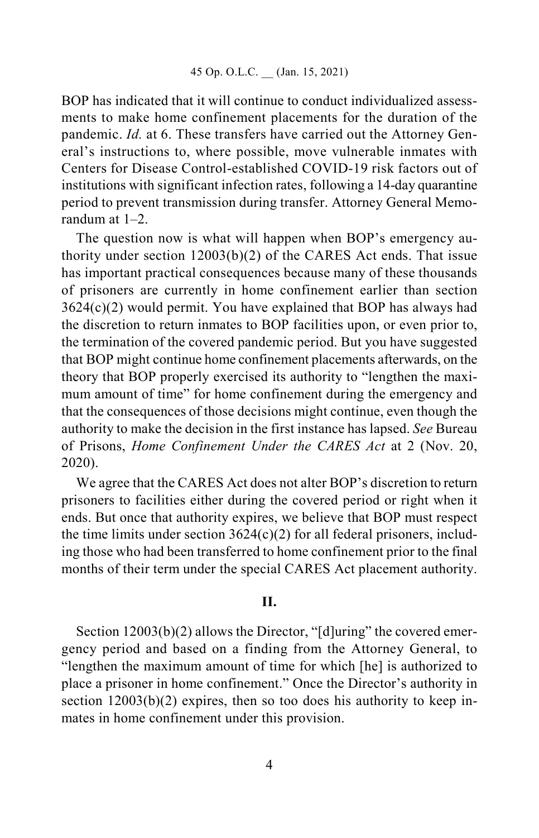BOP has indicated that it will continue to conduct individualized assessments to make home confinement placements for the duration of the pandemic. *Id.* at 6. These transfers have carried out the Attorney General's instructions to, where possible, move vulnerable inmates with Centers for Disease Control-established COVID-19 risk factors out of institutions with significant infection rates, following a 14-day quarantine period to prevent transmission during transfer. Attorney General Memorandum at 1–2.

The question now is what will happen when BOP's emergency authority under section 12003(b)(2) of the CARES Act ends. That issue has important practical consequences because many of these thousands of prisoners are currently in home confinement earlier than section 3624(c)(2) would permit. You have explained that BOP has always had the discretion to return inmates to BOP facilities upon, or even prior to, the termination of the covered pandemic period. But you have suggested that BOP might continue home confinement placements afterwards, on the theory that BOP properly exercised its authority to "lengthen the maximum amount of time" for home confinement during the emergency and that the consequences of those decisions might continue, even though the authority to make the decision in the first instance has lapsed. *See* Bureau of Prisons, *Home Confinement Under the CARES Act* at 2 (Nov. 20, 2020).

We agree that the CARES Act does not alter BOP's discretion to return prisoners to facilities either during the covered period or right when it ends. But once that authority expires, we believe that BOP must respect the time limits under section  $3624(c)(2)$  for all federal prisoners, including those who had been transferred to home confinement prior to the final months of their term under the special CARES Act placement authority.

## **II.**

Section 12003(b)(2) allows the Director, "[d]uring" the covered emergency period and based on a finding from the Attorney General, to "lengthen the maximum amount of time for which [he] is authorized to place a prisoner in home confinement." Once the Director's authority in section  $12003(b)(2)$  expires, then so too does his authority to keep inmates in home confinement under this provision.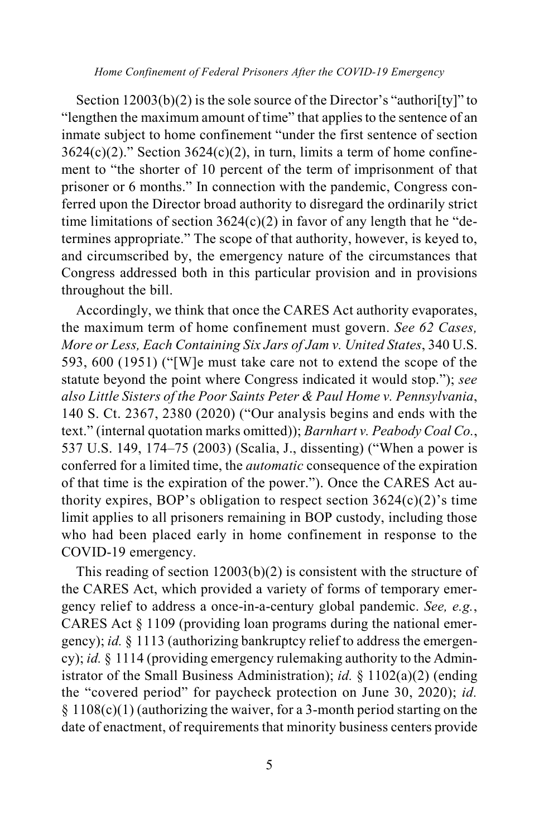Section 12003(b)(2) is the sole source of the Director's "authori[ty]" to "lengthen the maximum amount of time" that applies to the sentence of an inmate subject to home confinement "under the first sentence of section  $3624(c)(2)$ ." Section  $3624(c)(2)$ , in turn, limits a term of home confinement to "the shorter of 10 percent of the term of imprisonment of that prisoner or 6 months." In connection with the pandemic, Congress conferred upon the Director broad authority to disregard the ordinarily strict time limitations of section  $3624(c)(2)$  in favor of any length that he "determines appropriate." The scope of that authority, however, is keyed to, and circumscribed by, the emergency nature of the circumstances that Congress addressed both in this particular provision and in provisions throughout the bill.

Accordingly, we think that once the CARES Act authority evaporates, the maximum term of home confinement must govern. *See 62 Cases, More or Less, Each Containing Six Jars of Jam v. United States*, 340 U.S. 593, 600 (1951) ("[W]e must take care not to extend the scope of the statute beyond the point where Congress indicated it would stop."); *see also Little Sisters of the Poor Saints Peter & Paul Home v. Pennsylvania*, 140 S. Ct. 2367, 2380 (2020) ("Our analysis begins and ends with the text." (internal quotation marks omitted)); *Barnhart v. Peabody Coal Co.*, 537 U.S. 149, 174–75 (2003) (Scalia, J., dissenting) ("When a power is conferred for a limited time, the *automatic* consequence of the expiration of that time is the expiration of the power."). Once the CARES Act authority expires, BOP's obligation to respect section  $3624(c)(2)$ 's time limit applies to all prisoners remaining in BOP custody, including those who had been placed early in home confinement in response to the COVID-19 emergency.

This reading of section  $12003(b)(2)$  is consistent with the structure of the CARES Act, which provided a variety of forms of temporary emergency relief to address a once-in-a-century global pandemic. *See, e.g.*, CARES Act § 1109 (providing loan programs during the national emergency); *id.* § 1113 (authorizing bankruptcy relief to address the emergency); *id.* § 1114 (providing emergency rulemaking authority to the Administrator of the Small Business Administration); *id.* § 1102(a)(2) (ending the "covered period" for paycheck protection on June 30, 2020); *id.*  $§ 1108(c)(1)$  (authorizing the waiver, for a 3-month period starting on the date of enactment, of requirements that minority business centers provide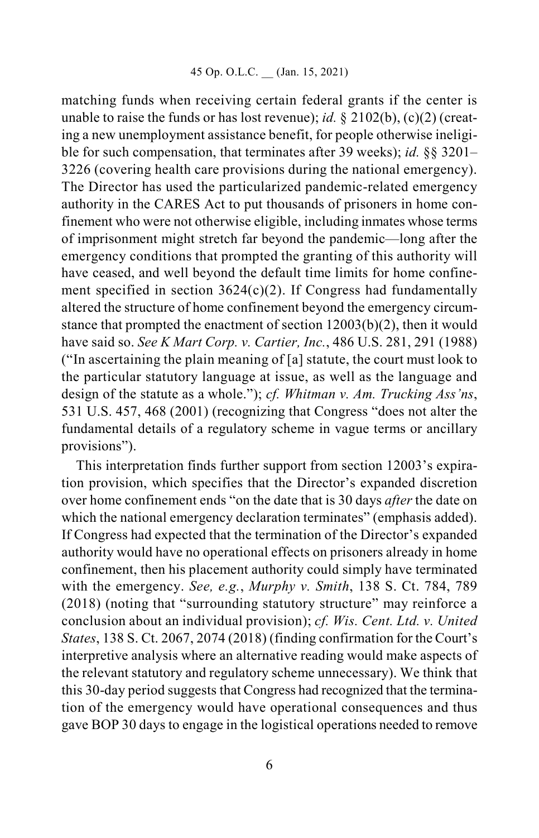matching funds when receiving certain federal grants if the center is unable to raise the funds or has lost revenue); *id.* § 2102(b), (c)(2) (creating a new unemployment assistance benefit, for people otherwise ineligible for such compensation, that terminates after 39 weeks); *id.* §§ 3201– 3226 (covering health care provisions during the national emergency). The Director has used the particularized pandemic-related emergency authority in the CARES Act to put thousands of prisoners in home confinement who were not otherwise eligible, including inmates whose terms of imprisonment might stretch far beyond the pandemic—long after the emergency conditions that prompted the granting of this authority will have ceased, and well beyond the default time limits for home confinement specified in section  $3624(c)(2)$ . If Congress had fundamentally altered the structure of home confinement beyond the emergency circumstance that prompted the enactment of section 12003(b)(2), then it would have said so. *See K Mart Corp. v. Cartier, Inc.*, 486 U.S. 281, 291 (1988) ("In ascertaining the plain meaning of [a] statute, the court must look to the particular statutory language at issue, as well as the language and design of the statute as a whole."); *cf. Whitman v. Am. Trucking Ass'ns*, 531 U.S. 457, 468 (2001) (recognizing that Congress "does not alter the fundamental details of a regulatory scheme in vague terms or ancillary provisions").

This interpretation finds further support from section 12003's expiration provision, which specifies that the Director's expanded discretion over home confinement ends "on the date that is 30 days *after* the date on which the national emergency declaration terminates" (emphasis added). If Congress had expected that the termination of the Director's expanded authority would have no operational effects on prisoners already in home confinement, then his placement authority could simply have terminated with the emergency. *See, e.g.*, *Murphy v. Smith*, 138 S. Ct. 784, 789 (2018) (noting that "surrounding statutory structure" may reinforce a conclusion about an individual provision); *cf. Wis. Cent. Ltd. v. United States*, 138 S. Ct. 2067, 2074 (2018) (finding confirmation for the Court's interpretive analysis where an alternative reading would make aspects of the relevant statutory and regulatory scheme unnecessary). We think that this 30-day period suggests that Congress had recognized that the termination of the emergency would have operational consequences and thus gave BOP 30 days to engage in the logistical operations needed to remove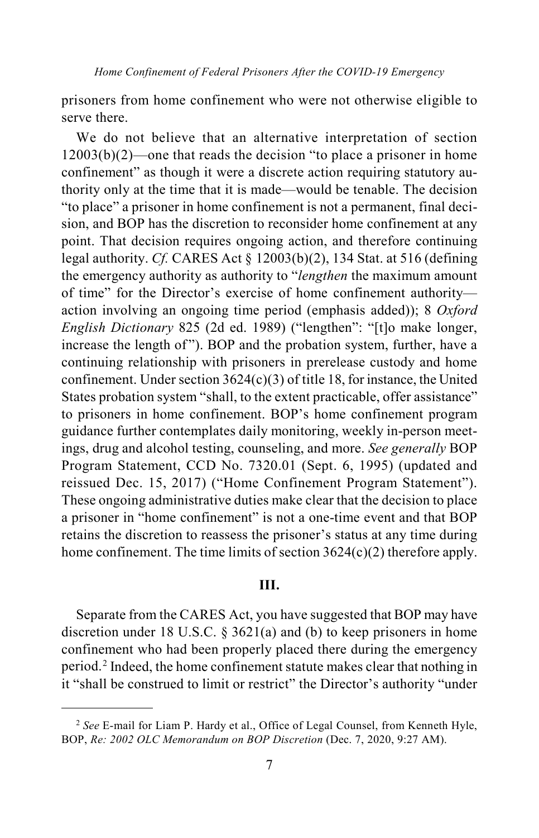prisoners from home confinement who were not otherwise eligible to serve there.

We do not believe that an alternative interpretation of section  $12003(b)(2)$ —one that reads the decision "to place a prisoner in home confinement" as though it were a discrete action requiring statutory authority only at the time that it is made—would be tenable. The decision "to place" a prisoner in home confinement is not a permanent, final decision, and BOP has the discretion to reconsider home confinement at any point. That decision requires ongoing action, and therefore continuing legal authority. *Cf.* CARES Act § 12003(b)(2), 134 Stat. at 516 (defining the emergency authority as authority to "*lengthen* the maximum amount of time" for the Director's exercise of home confinement authority action involving an ongoing time period (emphasis added)); 8 *Oxford English Dictionary* 825 (2d ed. 1989) ("lengthen": "[t]o make longer, increase the length of"). BOP and the probation system, further, have a continuing relationship with prisoners in prerelease custody and home confinement. Under section  $3624(c)(3)$  of title 18, for instance, the United States probation system "shall, to the extent practicable, offer assistance" to prisoners in home confinement. BOP's home confinement program guidance further contemplates daily monitoring, weekly in-person meetings, drug and alcohol testing, counseling, and more. *See generally* BOP Program Statement, CCD No. 7320.01 (Sept. 6, 1995) (updated and reissued Dec. 15, 2017) ("Home Confinement Program Statement"). These ongoing administrative duties make clear that the decision to place a prisoner in "home confinement" is not a one-time event and that BOP retains the discretion to reassess the prisoner's status at any time during home confinement. The time limits of section  $3624(c)(2)$  therefore apply.

## **III.**

Separate from the CARES Act, you have suggested that BOP may have discretion under 18 U.S.C.  $\S 3621(a)$  and (b) to keep prisoners in home confinement who had been properly placed there during the emergency period.[2](#page-6-0) Indeed, the home confinement statute makes clear that nothing in it "shall be construed to limit or restrict" the Director's authority "under

<span id="page-6-0"></span><sup>2</sup> *See* E-mail for Liam P. Hardy et al., Office of Legal Counsel, from Kenneth Hyle, BOP, *Re: 2002 OLC Memorandum on BOP Discretion* (Dec. 7, 2020, 9:27 AM).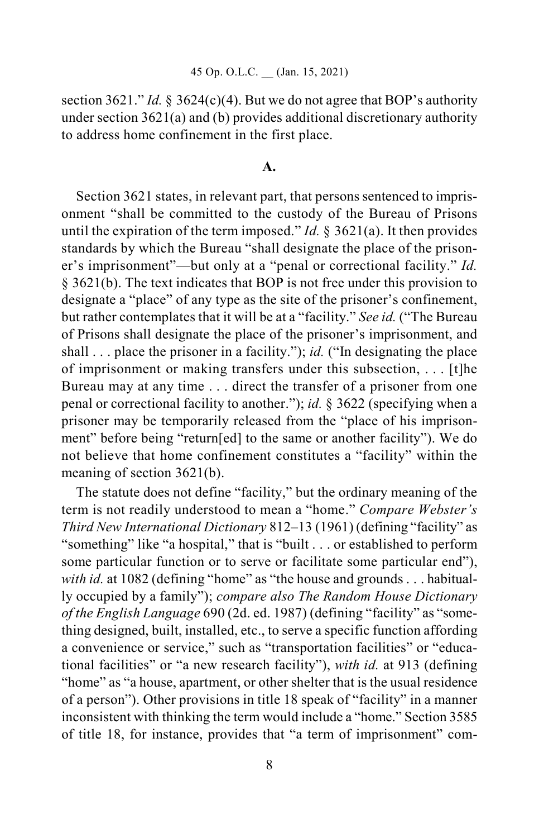#### 45 Op. O.L.C. \_\_ (Jan. 15, 2021)

section 3621." *Id.* § 3624(c)(4). But we do not agree that BOP's authority under section 3621(a) and (b) provides additional discretionary authority to address home confinement in the first place.

#### **A.**

Section 3621 states, in relevant part, that persons sentenced to imprisonment "shall be committed to the custody of the Bureau of Prisons until the expiration of the term imposed." *Id.* § 3621(a). It then provides standards by which the Bureau "shall designate the place of the prisoner's imprisonment"—but only at a "penal or correctional facility." *Id.* § 3621(b). The text indicates that BOP is not free under this provision to designate a "place" of any type as the site of the prisoner's confinement, but rather contemplates that it will be at a "facility." *See id.* ("The Bureau of Prisons shall designate the place of the prisoner's imprisonment, and shall . . . place the prisoner in a facility."); *id.* ("In designating the place of imprisonment or making transfers under this subsection, . . . [t]he Bureau may at any time . . . direct the transfer of a prisoner from one penal or correctional facility to another."); *id.* § 3622 (specifying when a prisoner may be temporarily released from the "place of his imprisonment" before being "return[ed] to the same or another facility"). We do not believe that home confinement constitutes a "facility" within the meaning of section 3621(b).

The statute does not define "facility," but the ordinary meaning of the term is not readily understood to mean a "home." *Compare Webster's Third New International Dictionary* 812–13 (1961) (defining "facility" as "something" like "a hospital," that is "built . . . or established to perform some particular function or to serve or facilitate some particular end"), *with id.* at 1082 (defining "home" as "the house and grounds . . . habitually occupied by a family"); *compare also The Random House Dictionary of the English Language* 690 (2d. ed. 1987) (defining "facility" as "something designed, built, installed, etc., to serve a specific function affording a convenience or service," such as "transportation facilities" or "educational facilities" or "a new research facility"), *with id.* at 913 (defining "home" as "a house, apartment, or other shelter that is the usual residence of a person"). Other provisions in title 18 speak of "facility" in a manner inconsistent with thinking the term would include a "home." Section 3585 of title 18, for instance, provides that "a term of imprisonment" com-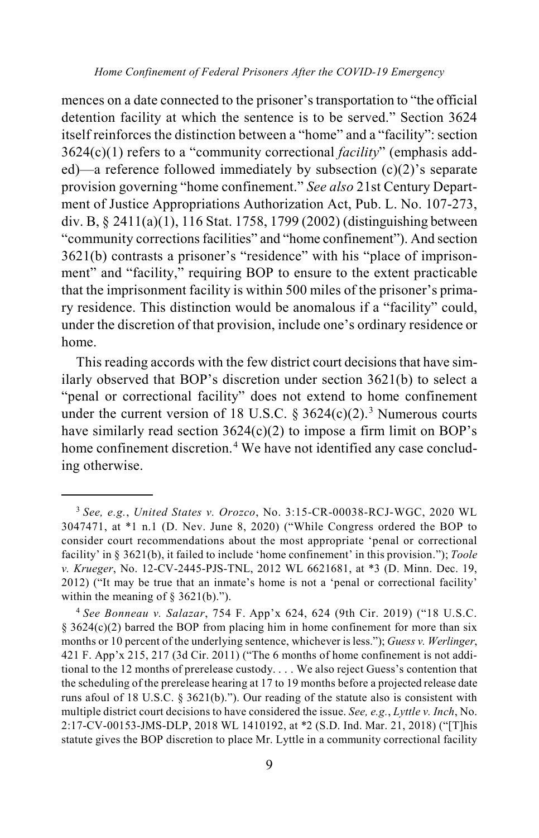mences on a date connected to the prisoner's transportation to "the official detention facility at which the sentence is to be served." Section 3624 itself reinforces the distinction between a "home" and a "facility": section 3624(c)(1) refers to a "community correctional *facility*" (emphasis added)—a reference followed immediately by subsection (c)(2)'s separate provision governing "home confinement." *See also* 21st Century Department of Justice Appropriations Authorization Act, Pub. L. No. 107-273, div. B, § 2411(a)(1), 116 Stat. 1758, 1799 (2002) (distinguishing between "community corrections facilities" and "home confinement"). And section 3621(b) contrasts a prisoner's "residence" with his "place of imprisonment" and "facility," requiring BOP to ensure to the extent practicable that the imprisonment facility is within 500 miles of the prisoner's primary residence. This distinction would be anomalous if a "facility" could, under the discretion of that provision, include one's ordinary residence or home.

This reading accords with the few district court decisions that have similarly observed that BOP's discretion under section 3621(b) to select a "penal or correctional facility" does not extend to home confinement under the current version of 18 U.S.C. § [3](#page-8-0)624(c)(2).<sup>3</sup> Numerous courts have similarly read section  $3624(c)(2)$  to impose a firm limit on BOP's home confinement discretion.<sup>[4](#page-8-1)</sup> We have not identified any case concluding otherwise.

<span id="page-8-0"></span> <sup>3</sup> *See, e.g.*, *United States v. Orozco*, No. 3:15-CR-00038-RCJ-WGC, 2020 WL 3047471, at \*1 n.1 (D. Nev. June 8, 2020) ("While Congress ordered the BOP to consider court recommendations about the most appropriate 'penal or correctional facility' in § 3621(b), it failed to include 'home confinement' in this provision."); *Toole v. Krueger*, No. 12-CV-2445-PJS-TNL, 2012 WL 6621681, at \*3 (D. Minn. Dec. 19, 2012) ("It may be true that an inmate's home is not a 'penal or correctional facility' within the meaning of  $\S$  3621(b).").

<span id="page-8-1"></span><sup>4</sup> *See Bonneau v. Salazar*, 754 F. App'x 624, 624 (9th Cir. 2019) ("18 U.S.C.  $\S$  3624(c)(2) barred the BOP from placing him in home confinement for more than six months or 10 percent of the underlying sentence, whichever is less."); *Guess v. Werlinger*, 421 F. App'x 215, 217 (3d Cir. 2011) ("The 6 months of home confinement is not additional to the 12 months of prerelease custody. . . . We also reject Guess's contention that the scheduling of the prerelease hearing at 17 to 19 months before a projected release date runs afoul of 18 U.S.C. § 3621(b)."). Our reading of the statute also is consistent with multiple district court decisions to have considered the issue. *See, e.g.*, *Lyttle v. Inch*, No. 2:17-CV-00153-JMS-DLP, 2018 WL 1410192, at \*2 (S.D. Ind. Mar. 21, 2018) ("[T]his statute gives the BOP discretion to place Mr. Lyttle in a community correctional facility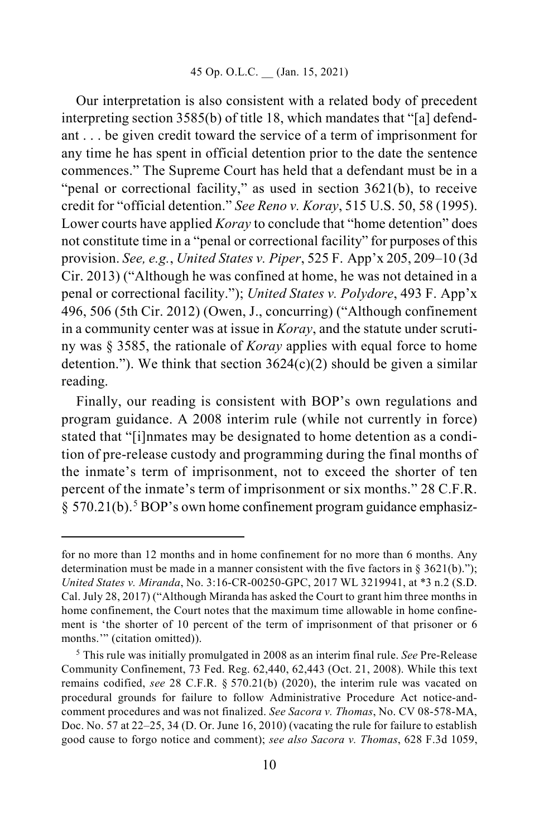Our interpretation is also consistent with a related body of precedent interpreting section 3585(b) of title 18, which mandates that "[a] defendant . . . be given credit toward the service of a term of imprisonment for any time he has spent in official detention prior to the date the sentence commences." The Supreme Court has held that a defendant must be in a "penal or correctional facility," as used in section 3621(b), to receive credit for "official detention." *See Reno v. Koray*, 515 U.S. 50, 58 (1995). Lower courts have applied *Koray* to conclude that "home detention" does not constitute time in a "penal or correctional facility" for purposes of this provision. *See, e.g.*, *United States v. Piper*, 525 F. App'x 205, 209–10 (3d Cir. 2013) ("Although he was confined at home, he was not detained in a penal or correctional facility."); *United States v. Polydore*, 493 F. App'x 496, 506 (5th Cir. 2012) (Owen, J., concurring) ("Although confinement in a community center was at issue in *Koray*, and the statute under scrutiny was § 3585, the rationale of *Koray* applies with equal force to home detention."). We think that section  $3624(c)(2)$  should be given a similar reading.

Finally, our reading is consistent with BOP's own regulations and program guidance. A 2008 interim rule (while not currently in force) stated that "[i]nmates may be designated to home detention as a condition of pre-release custody and programming during the final months of the inmate's term of imprisonment, not to exceed the shorter of ten percent of the inmate's term of imprisonment or six months." 28 C.F.R.  $\S 570.21(b)$  $\S 570.21(b)$  $\S 570.21(b)$ .<sup>5</sup> BOP's own home confinement program guidance emphasiz-

for no more than 12 months and in home confinement for no more than 6 months. Any determination must be made in a manner consistent with the five factors in § 3621(b)."); *United States v. Miranda*, No. 3:16-CR-00250-GPC, 2017 WL 3219941, at \*3 n.2 (S.D. Cal. July 28, 2017) ("Although Miranda has asked the Court to grant him three months in home confinement, the Court notes that the maximum time allowable in home confinement is 'the shorter of 10 percent of the term of imprisonment of that prisoner or 6 months.'" (citation omitted)).

<span id="page-9-0"></span><sup>5</sup> This rule was initially promulgated in 2008 as an interim final rule. *See* Pre-Release Community Confinement, 73 Fed. Reg. 62,440, 62,443 (Oct. 21, 2008). While this text remains codified, *see* 28 C.F.R. § 570.21(b) (2020), the interim rule was vacated on procedural grounds for failure to follow Administrative Procedure Act notice-andcomment procedures and was not finalized. *See Sacora v. Thomas*, No. CV 08-578-MA, Doc. No. 57 at 22–25, 34 (D. Or. June 16, 2010) (vacating the rule for failure to establish good cause to forgo notice and comment); *see also Sacora v. Thomas*, 628 F.3d 1059,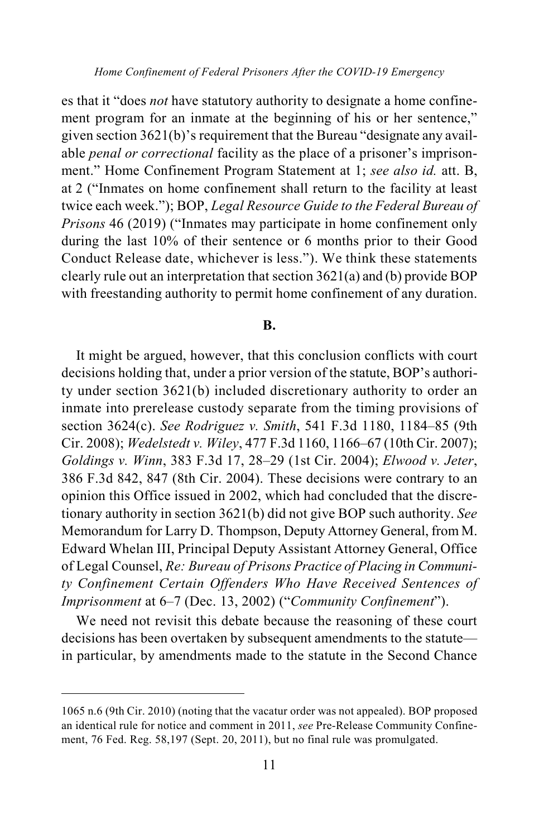es that it "does *not* have statutory authority to designate a home confinement program for an inmate at the beginning of his or her sentence," given section 3621(b)'s requirement that the Bureau "designate any available *penal or correctional* facility as the place of a prisoner's imprisonment." Home Confinement Program Statement at 1; *see also id.* att. B, at 2 ("Inmates on home confinement shall return to the facility at least twice each week."); BOP, *Legal Resource Guide to the Federal Bureau of Prisons* 46 (2019) ("Inmates may participate in home confinement only during the last 10% of their sentence or 6 months prior to their Good Conduct Release date, whichever is less."). We think these statements clearly rule out an interpretation that section 3621(a) and (b) provide BOP with freestanding authority to permit home confinement of any duration.

#### **B.**

It might be argued, however, that this conclusion conflicts with court decisions holding that, under a prior version of the statute, BOP's authority under section 3621(b) included discretionary authority to order an inmate into prerelease custody separate from the timing provisions of section 3624(c). *See Rodriguez v. Smith*, 541 F.3d 1180, 1184–85 (9th Cir. 2008); *Wedelstedt v. Wiley*, 477 F.3d 1160, 1166–67 (10th Cir. 2007); *Goldings v. Winn*, 383 F.3d 17, 28–29 (1st Cir. 2004); *Elwood v. Jeter*, 386 F.3d 842, 847 (8th Cir. 2004). These decisions were contrary to an opinion this Office issued in 2002, which had concluded that the discretionary authority in section 3621(b) did not give BOP such authority. *See*  Memorandum for Larry D. Thompson, Deputy Attorney General, from M. Edward Whelan III, Principal Deputy Assistant Attorney General, Office of Legal Counsel, *Re: Bureau of Prisons Practice of Placing in Community Confinement Certain Offenders Who Have Received Sentences of Imprisonment* at 6–7 (Dec. 13, 2002) ("*Community Confinement*").

We need not revisit this debate because the reasoning of these court decisions has been overtaken by subsequent amendments to the statute in particular, by amendments made to the statute in the Second Chance

<sup>1065</sup> n.6 (9th Cir. 2010) (noting that the vacatur order was not appealed). BOP proposed an identical rule for notice and comment in 2011, *see* Pre-Release Community Confinement, 76 Fed. Reg. 58,197 (Sept. 20, 2011), but no final rule was promulgated.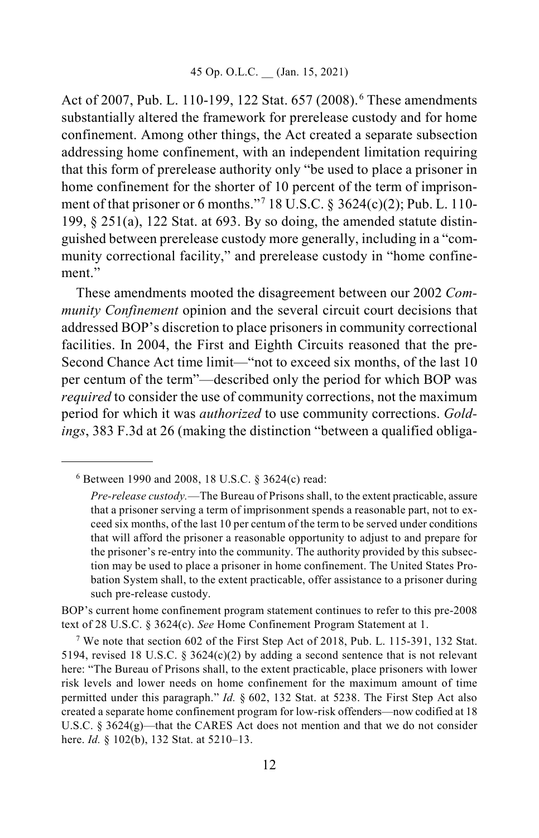Act of 2007, Pub. L. 110-199, 122 Stat. 657 (2008). [6](#page-11-0) These amendments substantially altered the framework for prerelease custody and for home confinement. Among other things, the Act created a separate subsection addressing home confinement, with an independent limitation requiring that this form of prerelease authority only "be used to place a prisoner in home confinement for the shorter of 10 percent of the term of imprisonment of that prisoner or 6 months."[7](#page-11-1) 18 U.S.C. § 3624(c)(2); Pub. L. 110- 199,  $\S 251(a)$ , 122 Stat. at 693. By so doing, the amended statute distinguished between prerelease custody more generally, including in a "community correctional facility," and prerelease custody in "home confinement."

These amendments mooted the disagreement between our 2002 *Community Confinement* opinion and the several circuit court decisions that addressed BOP's discretion to place prisoners in community correctional facilities. In 2004, the First and Eighth Circuits reasoned that the pre-Second Chance Act time limit—"not to exceed six months, of the last 10 per centum of the term"—described only the period for which BOP was *required* to consider the use of community corrections, not the maximum period for which it was *authorized* to use community corrections. *Goldings*, 383 F.3d at 26 (making the distinction "between a qualified obliga-

BOP's current home confinement program statement continues to refer to this pre-2008 text of 28 U.S.C. § 3624(c). *See* Home Confinement Program Statement at 1.

<span id="page-11-1"></span><sup>7</sup> We note that section 602 of the First Step Act of 2018, Pub. L. 115-391, 132 Stat. 5194, revised 18 U.S.C. § 3624 $(c)(2)$  by adding a second sentence that is not relevant here: "The Bureau of Prisons shall, to the extent practicable, place prisoners with lower risk levels and lower needs on home confinement for the maximum amount of time permitted under this paragraph." *Id.* § 602, 132 Stat. at 5238. The First Step Act also created a separate home confinement program for low-risk offenders—now codified at 18 U.S.C. § 3624(g)—that the CARES Act does not mention and that we do not consider here. *Id.* § 102(b), 132 Stat. at 5210–13.

<span id="page-11-0"></span> <sup>6</sup> Between 1990 and 2008, 18 U.S.C. § 3624(c) read:

*Pre-release custody.*—The Bureau of Prisons shall, to the extent practicable, assure that a prisoner serving a term of imprisonment spends a reasonable part, not to exceed six months, of the last 10 per centum of the term to be served under conditions that will afford the prisoner a reasonable opportunity to adjust to and prepare for the prisoner's re-entry into the community. The authority provided by this subsection may be used to place a prisoner in home confinement. The United States Probation System shall, to the extent practicable, offer assistance to a prisoner during such pre-release custody.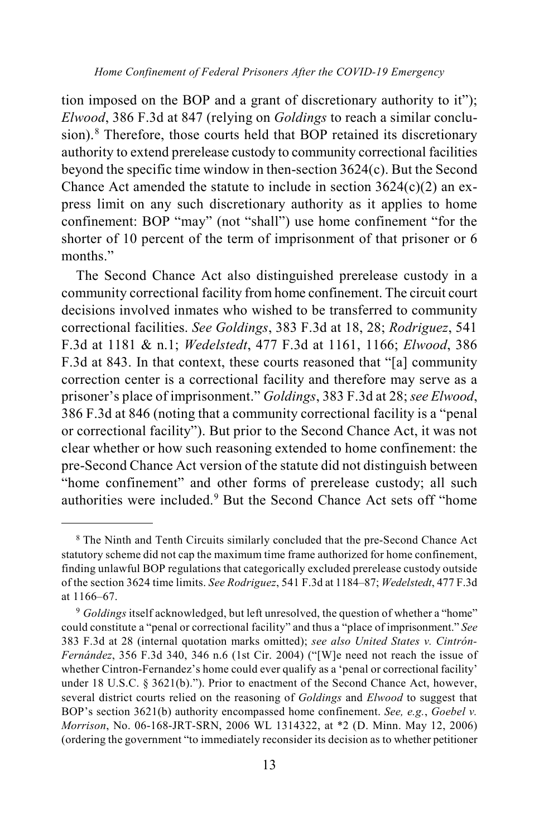tion imposed on the BOP and a grant of discretionary authority to it"); *Elwood*, 386 F.3d at 847 (relying on *Goldings* to reach a similar conclusion).[8](#page-12-0) Therefore, those courts held that BOP retained its discretionary authority to extend prerelease custody to community correctional facilities beyond the specific time window in then-section 3624(c). But the Second Chance Act amended the statute to include in section  $3624(c)(2)$  an express limit on any such discretionary authority as it applies to home confinement: BOP "may" (not "shall") use home confinement "for the shorter of 10 percent of the term of imprisonment of that prisoner or 6 months."

The Second Chance Act also distinguished prerelease custody in a community correctional facility from home confinement. The circuit court decisions involved inmates who wished to be transferred to community correctional facilities. *See Goldings*, 383 F.3d at 18, 28; *Rodriguez*, 541 F.3d at 1181 & n.1; *Wedelstedt*, 477 F.3d at 1161, 1166; *Elwood*, 386 F.3d at 843. In that context, these courts reasoned that "[a] community correction center is a correctional facility and therefore may serve as a prisoner's place of imprisonment." *Goldings*, 383 F.3d at 28; *see Elwood*, 386 F.3d at 846 (noting that a community correctional facility is a "penal or correctional facility"). But prior to the Second Chance Act, it was not clear whether or how such reasoning extended to home confinement: the pre-Second Chance Act version of the statute did not distinguish between "home confinement" and other forms of prerelease custody; all such authorities were included.<sup>[9](#page-12-1)</sup> But the Second Chance Act sets off "home

<span id="page-12-0"></span> <sup>8</sup> The Ninth and Tenth Circuits similarly concluded that the pre-Second Chance Act statutory scheme did not cap the maximum time frame authorized for home confinement, finding unlawful BOP regulations that categorically excluded prerelease custody outside of the section 3624 time limits. *See Rodriguez*, 541 F.3d at 1184–87; *Wedelstedt*, 477 F.3d at 1166–67.

<span id="page-12-1"></span><sup>9</sup> *Goldings* itself acknowledged, but left unresolved, the question of whether a "home" could constitute a "penal or correctional facility" and thus a "place of imprisonment." *See* 383 F.3d at 28 (internal quotation marks omitted); *see also United States v. Cintrón-Fernández*, 356 F.3d 340, 346 n.6 (1st Cir. 2004) ("[W]e need not reach the issue of whether Cintron-Fernandez's home could ever qualify as a 'penal or correctional facility' under 18 U.S.C. § 3621(b)."). Prior to enactment of the Second Chance Act, however, several district courts relied on the reasoning of *Goldings* and *Elwood* to suggest that BOP's section 3621(b) authority encompassed home confinement. *See, e.g.*, *Goebel v. Morrison*, No. 06-168-JRT-SRN, 2006 WL 1314322, at \*2 (D. Minn. May 12, 2006) (ordering the government "to immediately reconsider its decision as to whether petitioner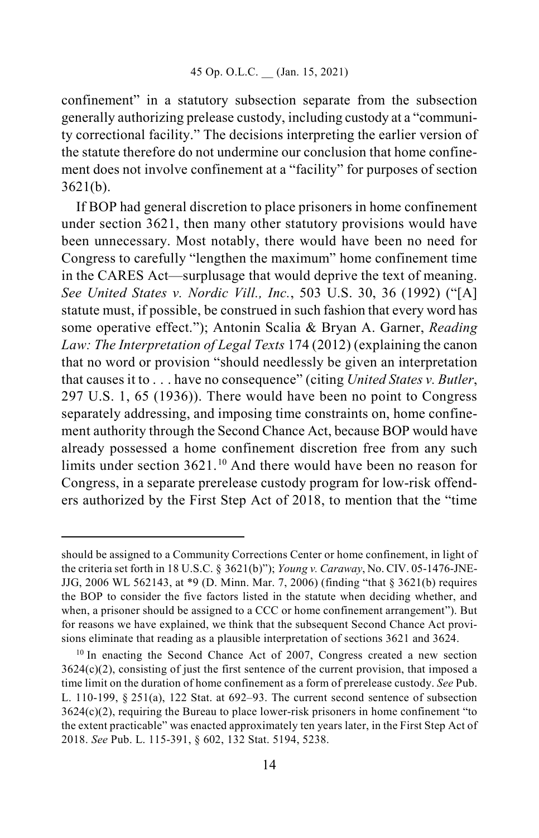confinement" in a statutory subsection separate from the subsection generally authorizing prelease custody, including custody at a "community correctional facility." The decisions interpreting the earlier version of the statute therefore do not undermine our conclusion that home confinement does not involve confinement at a "facility" for purposes of section 3621(b).

If BOP had general discretion to place prisoners in home confinement under section 3621, then many other statutory provisions would have been unnecessary. Most notably, there would have been no need for Congress to carefully "lengthen the maximum" home confinement time in the CARES Act—surplusage that would deprive the text of meaning. *See United States v. Nordic Vill., Inc.*, 503 U.S. 30, 36 (1992) ("[A] statute must, if possible, be construed in such fashion that every word has some operative effect."); Antonin Scalia & Bryan A. Garner, *Reading Law: The Interpretation of Legal Texts* 174 (2012) (explaining the canon that no word or provision "should needlessly be given an interpretation that causes it to . . . have no consequence" (citing *United States v. Butler*, 297 U.S. 1, 65 (1936)). There would have been no point to Congress separately addressing, and imposing time constraints on, home confinement authority through the Second Chance Act, because BOP would have already possessed a home confinement discretion free from any such limits under section 3621.<sup>[10](#page-13-0)</sup> And there would have been no reason for Congress, in a separate prerelease custody program for low-risk offenders authorized by the First Step Act of 2018, to mention that the "time

should be assigned to a Community Corrections Center or home confinement, in light of the criteria set forth in 18 U.S.C. § 3621(b)"); *Young v. Caraway*, No. CIV. 05-1476-JNE-JJG, 2006 WL 562143, at \*9 (D. Minn. Mar. 7, 2006) (finding "that § 3621(b) requires the BOP to consider the five factors listed in the statute when deciding whether, and when, a prisoner should be assigned to a CCC or home confinement arrangement"). But for reasons we have explained, we think that the subsequent Second Chance Act provisions eliminate that reading as a plausible interpretation of sections 3621 and 3624.

<span id="page-13-0"></span><sup>&</sup>lt;sup>10</sup> In enacting the Second Chance Act of 2007, Congress created a new section  $3624(c)(2)$ , consisting of just the first sentence of the current provision, that imposed a time limit on the duration of home confinement as a form of prerelease custody. *See* Pub. L. 110-199, § 251(a), 122 Stat. at 692–93. The current second sentence of subsection 3624(c)(2), requiring the Bureau to place lower-risk prisoners in home confinement "to the extent practicable" was enacted approximately ten years later, in the First Step Act of 2018. *See* Pub. L. 115-391, § 602, 132 Stat. 5194, 5238.